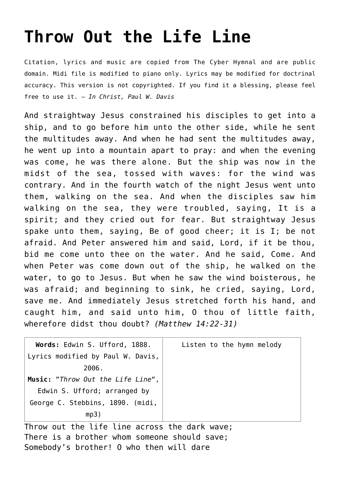## **[Throw Out the Life Line](http://reproachofmen.org/hymns-and-music/throw-out-the-life-line/)**

Citation, lyrics and music are copied from [The Cyber Hymnal](http://www.hymntime.com/tch/index.htm) and are public domain. Midi file is modified to piano only. Lyrics may be modified for doctrinal accuracy. This version is not copyrighted. If you find it a blessing, please feel free to use it. — *In Christ, Paul W. Davis*

And straightway Jesus constrained his disciples to get into a ship, and to go before him unto the other side, while he sent the multitudes away. And when he had sent the multitudes away, he went up into a mountain apart to pray: and when the evening was come, he was there alone. But the ship was now in the midst of the sea, tossed with waves: for the wind was contrary. And in the fourth watch of the night Jesus went unto them, walking on the sea. And when the disciples saw him walking on the sea, they were troubled, saying, It is a spirit; and they cried out for fear. But straightway Jesus spake unto them, saying, Be of good cheer; it is I; be not afraid. And Peter answered him and said, Lord, if it be thou, bid me come unto thee on the water. And he said, Come. And when Peter was come down out of the ship, he walked on the water, to go to Jesus. But when he saw the wind boisterous, he was afraid; and beginning to sink, he cried, saying, Lord, save me. And immediately Jesus stretched forth his hand, and caught him, and said unto him, O thou of little faith, wherefore didst thou doubt? *(Matthew 14:22-31)*

| Words: Edwin S. Ufford, 1888.     | Listen to the hymn melody |
|-----------------------------------|---------------------------|
| Lyrics modified by Paul W. Davis, |                           |
| 2006.                             |                           |
| Music: "Throw Out the Life Line", |                           |
| Edwin S. Ufford; arranged by      |                           |
| George C. Stebbins, 1890. (midi,  |                           |
| mp3)                              |                           |

Throw out the life line across the dark wave; There is a brother whom someone should save; Somebody's brother! O who then will dare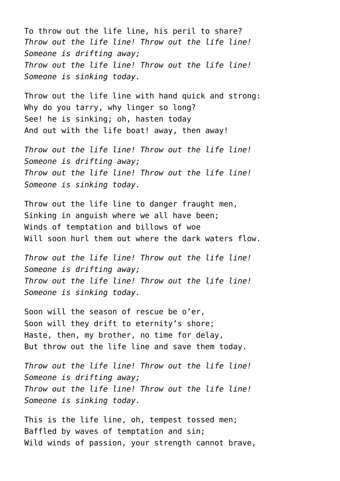To throw out the life line, his peril to share? *Throw out the life line! Throw out the life line! Someone is drifting away; Throw out the life line! Throw out the life line! Someone is sinking today.*

Throw out the life line with hand quick and strong: Why do you tarry, why linger so long? See! he is sinking; oh, hasten today And out with the life boat! away, then away!

*Throw out the life line! Throw out the life line! Someone is drifting away; Throw out the life line! Throw out the life line! Someone is sinking today.*

Throw out the life line to danger fraught men, Sinking in anguish where we all have been; Winds of temptation and billows of woe Will soon hurl them out where the dark waters flow.

*Throw out the life line! Throw out the life line! Someone is drifting away; Throw out the life line! Throw out the life line! Someone is sinking today.*

Soon will the season of rescue be o'er, Soon will they drift to eternity's shore; Haste, then, my brother, no time for delay, But throw out the life line and save them today.

*Throw out the life line! Throw out the life line! Someone is drifting away; Throw out the life line! Throw out the life line! Someone is sinking today.*

This is the life line, oh, tempest tossed men; Baffled by waves of temptation and sin; Wild winds of passion, your strength cannot brave,